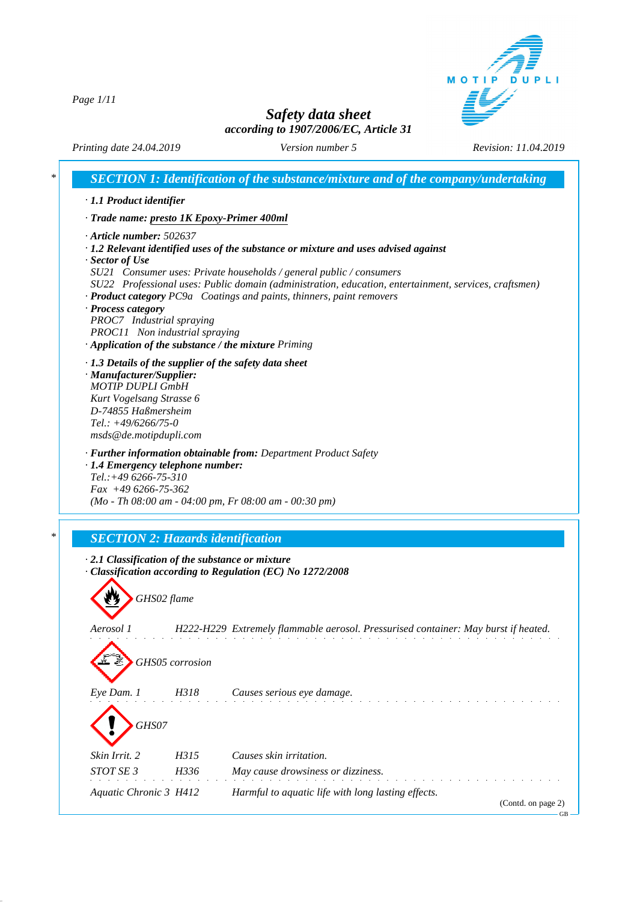MOTIP DUPLI

*Page 1/11*

# *Safety data sheet according to 1907/2006/EC, Article 31*

*Printing date 24.04.2019 Version number 5 Revision: 11.04.2019*

|                                                                                                                                                           |                 | SECTION 1: Identification of the substance/mixture and of the company/undertaking                                                                                                                                                                                                                                                                                                                                |
|-----------------------------------------------------------------------------------------------------------------------------------------------------------|-----------------|------------------------------------------------------------------------------------------------------------------------------------------------------------------------------------------------------------------------------------------------------------------------------------------------------------------------------------------------------------------------------------------------------------------|
| · 1.1 Product identifier                                                                                                                                  |                 |                                                                                                                                                                                                                                                                                                                                                                                                                  |
| · Trade name: presto 1K Epoxy-Primer 400ml                                                                                                                |                 |                                                                                                                                                                                                                                                                                                                                                                                                                  |
| $\cdot$ Article number: 502637<br>$\cdot$ Sector of Use<br>· Process category<br>PROC7 Industrial spraying<br>PROC11 Non industrial spraying              |                 | $\cdot$ 1.2 Relevant identified uses of the substance or mixture and uses advised against<br>SU21 Consumer uses: Private households / general public / consumers<br>SU22 Professional uses: Public domain (administration, education, entertainment, services, craftsmen)<br>· Product category PC9a Coatings and paints, thinners, paint removers<br>$\cdot$ Application of the substance / the mixture Priming |
| · Manufacturer/Supplier:<br><b>MOTIP DUPLI GmbH</b><br>Kurt Vogelsang Strasse 6<br>D-74855 Haßmersheim<br>Tel.: $+49/6266/75-0$<br>msds@de.motipdupli.com |                 | · 1.3 Details of the supplier of the safety data sheet                                                                                                                                                                                                                                                                                                                                                           |
| Tel.:+49 6266-75-310<br>$Fax +496266-75-362$<br><b>SECTION 2: Hazards identification</b>                                                                  |                 | $(Mo - Th 08:00 am - 04:00 pm, Fr 08:00 am - 00:30 pm)$                                                                                                                                                                                                                                                                                                                                                          |
|                                                                                                                                                           |                 | $\cdot$ 2.1 Classification of the substance or mixture                                                                                                                                                                                                                                                                                                                                                           |
|                                                                                                                                                           |                 | Classification according to Regulation (EC) No 1272/2008                                                                                                                                                                                                                                                                                                                                                         |
|                                                                                                                                                           | GHS02 flame     |                                                                                                                                                                                                                                                                                                                                                                                                                  |
| Aerosol 1                                                                                                                                                 |                 | H222-H229 Extremely flammable aerosol. Pressurised container: May burst if heated.                                                                                                                                                                                                                                                                                                                               |
|                                                                                                                                                           | GHS05 corrosion |                                                                                                                                                                                                                                                                                                                                                                                                                  |
| Eye Dam. 1                                                                                                                                                | H318            | Causes serious eye damage.                                                                                                                                                                                                                                                                                                                                                                                       |
| GHS07                                                                                                                                                     |                 |                                                                                                                                                                                                                                                                                                                                                                                                                  |
| Skin Irrit. 2                                                                                                                                             | H315            | Causes skin irritation.                                                                                                                                                                                                                                                                                                                                                                                          |
| STOT SE 3                                                                                                                                                 | H336            | May cause drowsiness or dizziness.                                                                                                                                                                                                                                                                                                                                                                               |
| Aquatic Chronic 3 H412                                                                                                                                    |                 | Harmful to aquatic life with long lasting effects.<br>(Contd. on page 2)                                                                                                                                                                                                                                                                                                                                         |

 $\epsilon$ <sub>GB</sub> $\Box$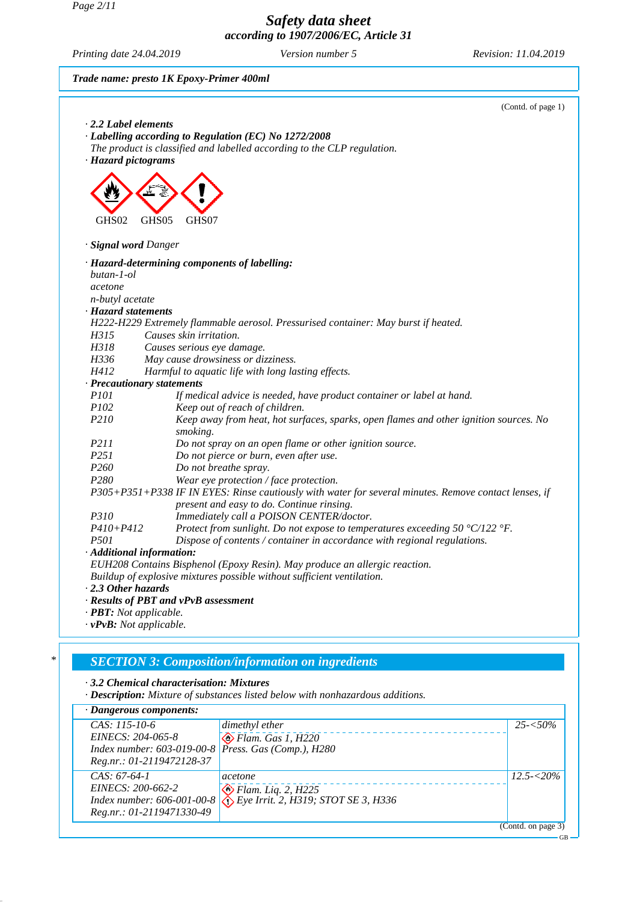*Page 2/11*

*Safety data sheet according to 1907/2006/EC, Article 31*

*Printing date 24.04.2019 Version number 5 Revision: 11.04.2019*

GB

*Trade name: presto 1K Epoxy-Primer 400ml*



*· 3.2 Chemical characterisation: Mixtures*

*· Description: Mixture of substances listed below with nonhazardous additions.*

#### *· Dangerous components: CAS: 115-10-6 EINECS: 204-065-8 Index number: 603-019-00-8 Reg.nr.: 01-2119472128-37 dimethyl ether Flam. Gas 1, H220 Press. Gas (Comp.), H280 25-<50% CAS: 67-64-1 EINECS: 200-662-2 Index number: 606-001-00-8 Reg.nr.: 01-2119471330-49 acetone Flam. Liq. 2, H225 Eye Irrit. 2, H319; STOT SE 3, H336 12.5-<20%* (Contd. on page 3)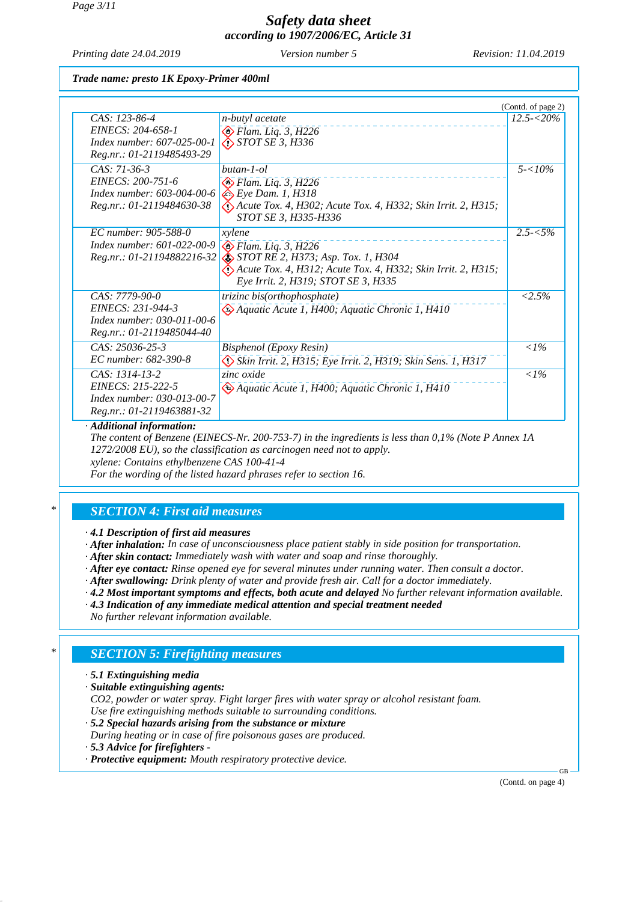*Printing date 24.04.2019 Version number 5 Revision: 11.04.2019*

*Trade name: presto 1K Epoxy-Primer 400ml*

|                                                                                                  |                                                                                                                                                                                                    | (Contd. of page 2) |
|--------------------------------------------------------------------------------------------------|----------------------------------------------------------------------------------------------------------------------------------------------------------------------------------------------------|--------------------|
| CAS: 123-86-4<br>EINECS: 204-658-1<br>Index number: 607-025-00-1<br>Reg.nr.: 01-2119485493-29    | n-butyl acetate<br>$\bigotimes$ Flam. Liq. 3, H226<br>$\bigotimes$ STOT SE 3, H336                                                                                                                 | $12.5 - 520\%$     |
| CAS: 71-36-3<br>EINECS: 200-751-6<br>Index number: 603-004-00-6<br>Reg.nr.: 01-2119484630-38     | butan-1-ol<br>$\bigotimes$ Flam. Liq. 3, H226<br>$\Leftrightarrow$ Eye Dam. 1, H318<br>$\langle$ : Acute Tox. 4, H302; Acute Tox. 4, H332; Skin Irrit. 2, H315;<br>STOT SE 3, H335-H336            | $5 - 10\%$         |
| EC number: 905-588-0<br>Index number: 601-022-00-9<br>Reg.nr.: 01-21194882216-32                 | xylene<br>$\bigotimes$ Flam. Liq. 3, H226<br>STOT RE 2, H373; Asp. Tox. 1, H304<br>$\langle$ . Acute Tox. 4, H312; Acute Tox. 4, H332; Skin Irrit. 2, H315;<br>Eye Irrit. 2, H319; STOT SE 3, H335 | $2.5 - 5\%$        |
| CAS: 7779-90-0<br>EINECS: 231-944-3<br>Index number: 030-011-00-6<br>Reg.nr.: 01-2119485044-40   | trizinc bis(orthophosphate)<br>Aquatic Acute 1, H400; Aquatic Chronic 1, H410                                                                                                                      | $< 2.5\%$          |
| $CAS: 25036-25-3$<br>EC number: 682-390-8                                                        | Bisphenol (Epoxy Resin)<br>Skin Irrit. 2, H315; Eye Irrit. 2, H319; Skin Sens. 1, H317                                                                                                             | $<$ 1%             |
| $CAS: 1314-13-2$<br>EINECS: 215-222-5<br>Index number: 030-013-00-7<br>Reg.nr.: 01-2119463881-32 | zinc oxide<br>Aquatic Acute 1, H400; Aquatic Chronic 1, H410                                                                                                                                       | $\langle$ 1%       |

*· Additional information:*

*The content of Benzene (EINECS-Nr. 200-753-7) in the ingredients is less than 0,1% (Note P Annex 1A 1272/2008 EU), so the classification as carcinogen need not to apply. xylene: Contains ethylbenzene CAS 100-41-4*

*For the wording of the listed hazard phrases refer to section 16.*

#### *\* SECTION 4: First aid measures*

*· 4.1 Description of first aid measures*

*· After inhalation: In case of unconsciousness place patient stably in side position for transportation.*

*· After skin contact: Immediately wash with water and soap and rinse thoroughly.*

*· After eye contact: Rinse opened eye for several minutes under running water. Then consult a doctor.*

*· After swallowing: Drink plenty of water and provide fresh air. Call for a doctor immediately.*

- *· 4.2 Most important symptoms and effects, both acute and delayed No further relevant information available.*
- *· 4.3 Indication of any immediate medical attention and special treatment needed*

*No further relevant information available.*

### *\* SECTION 5: Firefighting measures*

- *· 5.1 Extinguishing media*
- *· Suitable extinguishing agents:*

*CO2, powder or water spray. Fight larger fires with water spray or alcohol resistant foam. Use fire extinguishing methods suitable to surrounding conditions.*

- *· 5.2 Special hazards arising from the substance or mixture*
- *During heating or in case of fire poisonous gases are produced.*
- *· 5.3 Advice for firefighters*
- *· Protective equipment: Mouth respiratory protective device.*

(Contd. on page 4)

GB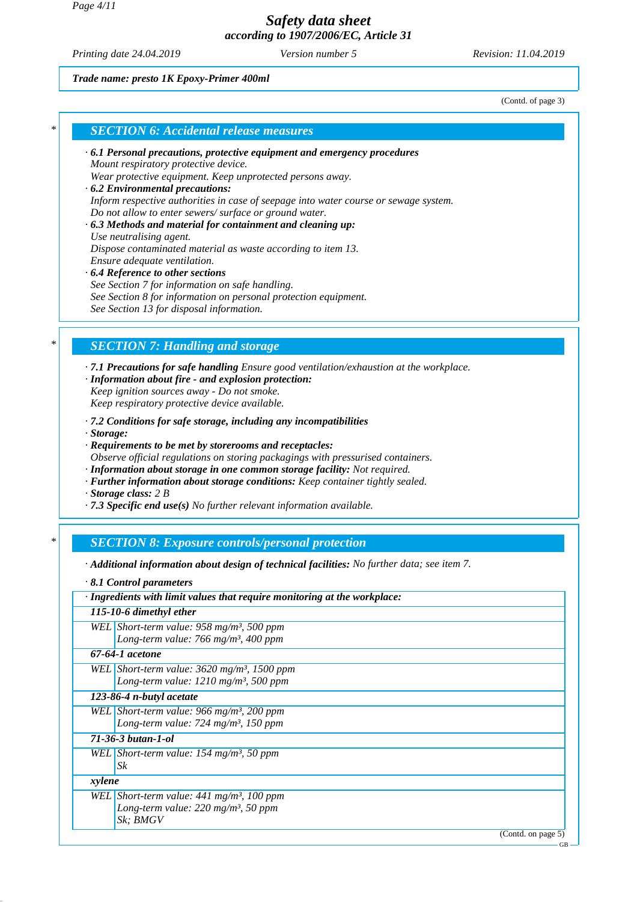*Page 4/11*

### *Safety data sheet according to 1907/2006/EC, Article 31*

*Printing date 24.04.2019 Version number 5 Revision: 11.04.2019*

*Trade name: presto 1K Epoxy-Primer 400ml*

(Contd. of page 3)

#### *\* SECTION 6: Accidental release measures*

- *· 6.1 Personal precautions, protective equipment and emergency procedures Mount respiratory protective device. Wear protective equipment. Keep unprotected persons away.*
- *· 6.2 Environmental precautions: Inform respective authorities in case of seepage into water course or sewage system. Do not allow to enter sewers/ surface or ground water.*
- *· 6.3 Methods and material for containment and cleaning up: Use neutralising agent. Dispose contaminated material as waste according to item 13. Ensure adequate ventilation.*

### *· 6.4 Reference to other sections*

*See Section 7 for information on safe handling. See Section 8 for information on personal protection equipment. See Section 13 for disposal information.*

### *\* SECTION 7: Handling and storage*

*· 7.1 Precautions for safe handling Ensure good ventilation/exhaustion at the workplace.*

- *· Information about fire and explosion protection: Keep ignition sources away - Do not smoke. Keep respiratory protective device available.*
- *· 7.2 Conditions for safe storage, including any incompatibilities*

*· Storage:*

*· Requirements to be met by storerooms and receptacles:*

*Observe official regulations on storing packagings with pressurised containers.*

- *· Information about storage in one common storage facility: Not required.*
- *· Further information about storage conditions: Keep container tightly sealed.*

*· Storage class: 2 B*

*· 7.3 Specific end use(s) No further relevant information available.*

### *\* SECTION 8: Exposure controls/personal protection*

*· Additional information about design of technical facilities: No further data; see item 7.*

*· 8.1 Control parameters*

| · Ingredients with limit values that require monitoring at the workplace: |                                                           |  |  |
|---------------------------------------------------------------------------|-----------------------------------------------------------|--|--|
|                                                                           | 115-10-6 dimethyl ether                                   |  |  |
|                                                                           | WEL Short-term value: $958$ mg/m <sup>3</sup> , 500 ppm   |  |  |
|                                                                           | Long-term value: 766 mg/m <sup>3</sup> , 400 ppm          |  |  |
|                                                                           | 67-64-1 acetone                                           |  |  |
|                                                                           | WEL Short-term value: $3620$ mg/m <sup>3</sup> , 1500 ppm |  |  |
|                                                                           | Long-term value: 1210 mg/m <sup>3</sup> , 500 ppm         |  |  |
| 123-86-4 n-butyl acetate                                                  |                                                           |  |  |
|                                                                           | WEL Short-term value: 966 mg/m <sup>3</sup> , 200 ppm     |  |  |
|                                                                           | Long-term value: $724$ mg/m <sup>3</sup> , 150 ppm        |  |  |
|                                                                           | 71-36-3 butan-1-ol                                        |  |  |
|                                                                           | WEL Short-term value: $154$ mg/m <sup>3</sup> , 50 ppm    |  |  |
|                                                                           | Sk                                                        |  |  |
| xylene                                                                    |                                                           |  |  |
|                                                                           | WEL Short-term value: $441$ mg/m <sup>3</sup> , 100 ppm   |  |  |
|                                                                           | Long-term value: $220$ mg/m <sup>3</sup> , 50 ppm         |  |  |
|                                                                           | Sk; BMGV                                                  |  |  |
|                                                                           | (Contd. on page 5)                                        |  |  |
|                                                                           | GB                                                        |  |  |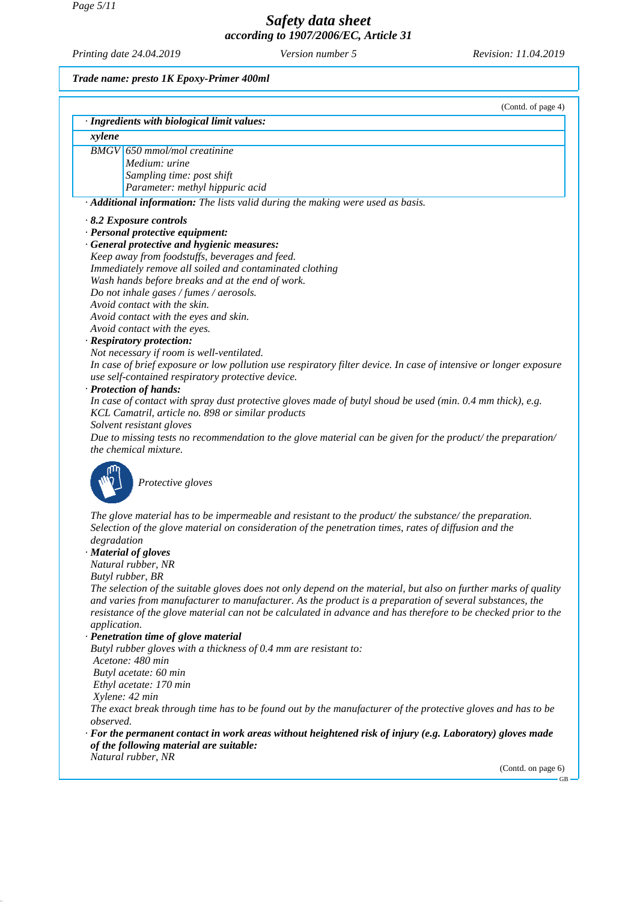*Printing date 24.04.2019 Version number 5 Revision: 11.04.2019*

*Trade name: presto 1K Epoxy-Primer 400ml*

|              | (Contd. of page 4)                                                                                                                                         |
|--------------|------------------------------------------------------------------------------------------------------------------------------------------------------------|
|              | · Ingredients with biological limit values:                                                                                                                |
| xylene       |                                                                                                                                                            |
|              | <b>BMGV</b> 650 mmol/mol creatinine                                                                                                                        |
|              | Medium: urine                                                                                                                                              |
|              | Sampling time: post shift                                                                                                                                  |
|              | Parameter: methyl hippuric acid                                                                                                                            |
|              | · Additional information: The lists valid during the making were used as basis.                                                                            |
|              | $\cdot$ 8.2 Exposure controls                                                                                                                              |
|              | · Personal protective equipment:                                                                                                                           |
|              | · General protective and hygienic measures:                                                                                                                |
|              | Keep away from foodstuffs, beverages and feed.                                                                                                             |
|              | Immediately remove all soiled and contaminated clothing<br>Wash hands before breaks and at the end of work.                                                |
|              | Do not inhale gases / fumes / aerosols.                                                                                                                    |
|              | Avoid contact with the skin.                                                                                                                               |
|              | Avoid contact with the eyes and skin.                                                                                                                      |
|              | Avoid contact with the eyes.                                                                                                                               |
|              | · Respiratory protection:                                                                                                                                  |
|              | Not necessary if room is well-ventilated.                                                                                                                  |
|              | In case of brief exposure or low pollution use respiratory filter device. In case of intensive or longer exposure                                          |
|              | use self-contained respiratory protective device.                                                                                                          |
|              | · Protection of hands:<br>In case of contact with spray dust protective gloves made of butyl shoud be used (min. 0.4 mm thick), e.g.                       |
|              | KCL Camatril, article no. 898 or similar products                                                                                                          |
|              | Solvent resistant gloves                                                                                                                                   |
|              | Due to missing tests no recommendation to the glove material can be given for the product/ the preparation/                                                |
|              | the chemical mixture.                                                                                                                                      |
|              | Protective gloves                                                                                                                                          |
|              | The glove material has to be impermeable and resistant to the product/the substance/the preparation.                                                       |
|              | Selection of the glove material on consideration of the penetration times, rates of diffusion and the                                                      |
| degradation  |                                                                                                                                                            |
|              | · Material of gloves<br>Natural rubber, NR                                                                                                                 |
|              | Butyl rubber, BR                                                                                                                                           |
|              | The selection of the suitable gloves does not only depend on the material, but also on further marks of quality                                            |
|              | and varies from manufacturer to manufacturer. As the product is a preparation of several substances, the                                                   |
|              | resistance of the glove material can not be calculated in advance and has therefore to be checked prior to the                                             |
| application. |                                                                                                                                                            |
|              | · Penetration time of glove material                                                                                                                       |
|              | Butyl rubber gloves with a thickness of 0.4 mm are resistant to:<br>Acetone: 480 min                                                                       |
|              | Butyl acetate: 60 min                                                                                                                                      |
|              | Ethyl acetate: 170 min                                                                                                                                     |
|              | Xylene: 42 min                                                                                                                                             |
|              | The exact break through time has to be found out by the manufacturer of the protective gloves and has to be                                                |
| observed.    |                                                                                                                                                            |
|              | $\cdot$ For the permanent contact in work areas without heightened risk of injury (e.g. Laboratory) gloves made<br>of the following material are suitable: |
|              | Natural rubber, NR                                                                                                                                         |
|              | (Contd. on page 6)<br>$GB -$                                                                                                                               |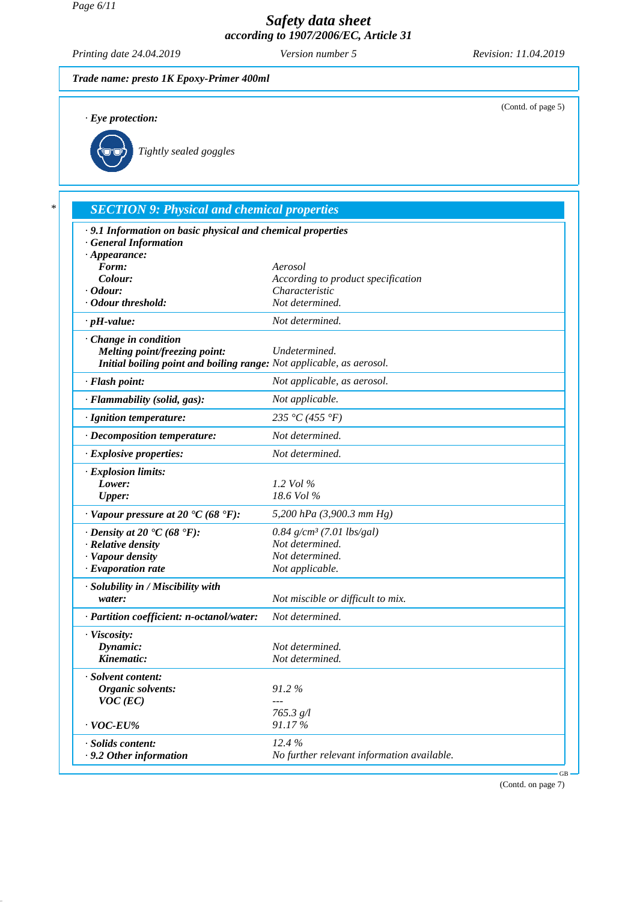*Printing date 24.04.2019 Version number 5 Revision: 11.04.2019*

(Contd. of page 5)

# *Trade name: presto 1K Epoxy-Primer 400ml*

*· Eye protection:*



*Tightly sealed goggles*

### *\* SECTION 9: Physical and chemical properties · 9.1 Information on basic physical and chemical properties · General Information · Appearance: Form: Aerosol Colour: According to product specification · Odour: Characteristic · Odour threshold: Not determined. · pH-value: Not determined. · Change in condition Melting point/freezing point: Undetermined. Initial boiling point and boiling range: Not applicable, as aerosol. · Flash point: Not applicable, as aerosol. · Flammability (solid, gas): Not applicable. · Ignition temperature: 235 °C (455 °F) · Decomposition temperature: Not determined. · Explosive properties: Not determined. · Explosion limits: Lower: 1.2 Vol % Upper: 18.6 Vol % · Vapour pressure at 20 °C (68 °F): 5,200 hPa (3,900.3 mm Hg) · Density at 20* **°C (68 °F):** *0.84 g/cm<sup>3</sup> (7.01 lbs/gal) · Relative density not determined. <i>Not determined. · Relative density Not determined. · Vapour density <i>Not determined Not determined i Not determined <i>·* Evaporation rate *· Solubility in / Miscibility with water: Not miscible or difficult to mix. · Partition coefficient: n-octanol/water: Not determined. · Viscosity: Dynamic: Not determined. Kinematic: Not determined. · Solvent content: Organic solvents: 91.2 % VOC (EC) --- 765.3 g/l · VOC-EU% 91.17 % · Solids content: 12.4 % · 9.2 Other information No further relevant information available.*

(Contd. on page 7)

GB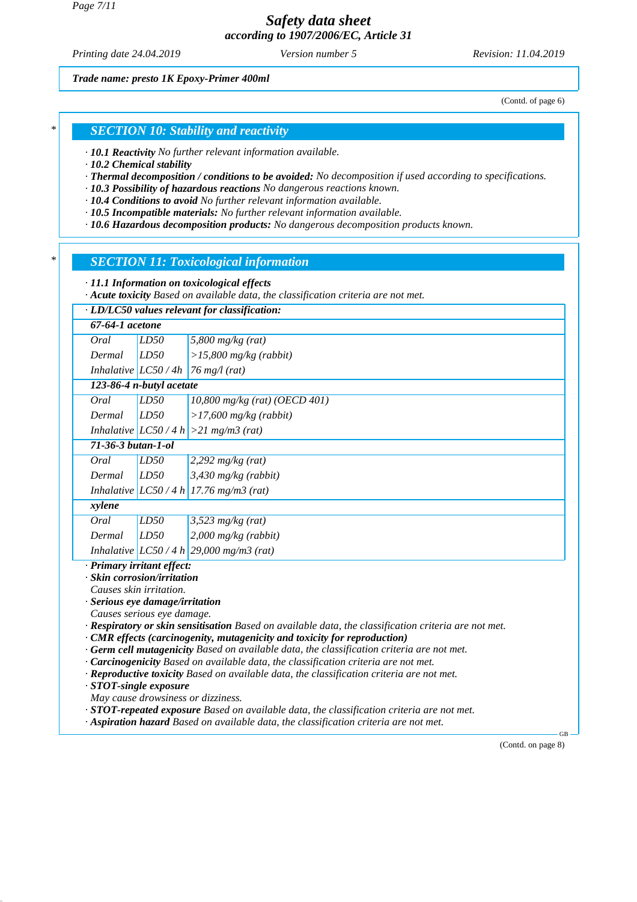*Page 7/11*

### *Safety data sheet according to 1907/2006/EC, Article 31*

*Printing date 24.04.2019 Version number 5 Revision: 11.04.2019*

*Trade name: presto 1K Epoxy-Primer 400ml*

(Contd. of page 6)

#### *\* SECTION 10: Stability and reactivity*

*· 10.1 Reactivity No further relevant information available.*

*· 10.2 Chemical stability*

*· Thermal decomposition / conditions to be avoided: No decomposition if used according to specifications.*

*· 10.3 Possibility of hazardous reactions No dangerous reactions known.*

*· 10.4 Conditions to avoid No further relevant information available.*

*· 10.5 Incompatible materials: No further relevant information available.*

*· 10.6 Hazardous decomposition products: No dangerous decomposition products known.*

#### *\* SECTION 11: Toxicological information*

*· 11.1 Information on toxicological effects*

*· Acute toxicity Based on available data, the classification criteria are not met.*

|                                                                                                       | · LD/LC50 values relevant for classification: |                                                                                           |  |  |
|-------------------------------------------------------------------------------------------------------|-----------------------------------------------|-------------------------------------------------------------------------------------------|--|--|
| 67-64-1 acetone                                                                                       |                                               |                                                                                           |  |  |
| Oral                                                                                                  | LD50                                          | 5,800 $mg/kg$ (rat)                                                                       |  |  |
| Dermal                                                                                                | LD50                                          | $>15,800$ mg/kg (rabbit)                                                                  |  |  |
|                                                                                                       | Inhalative $LC50/4h$                          | $76$ mg/l (rat)                                                                           |  |  |
|                                                                                                       | 123-86-4 n-butyl acetate                      |                                                                                           |  |  |
| Oral                                                                                                  | LD50                                          | 10,800 mg/kg (rat) (OECD 401)                                                             |  |  |
| Dermal                                                                                                | LD50                                          | $>17,600$ mg/kg (rabbit)                                                                  |  |  |
|                                                                                                       | Inhalative $LC50/4 h$                         | $>21$ mg/m3 (rat)                                                                         |  |  |
| $71-36-3 but an-1-ol$                                                                                 |                                               |                                                                                           |  |  |
| Oral                                                                                                  | LD50                                          | $2,292$ mg/kg (rat)                                                                       |  |  |
| Dermal                                                                                                | LD50                                          | $3,430$ mg/kg (rabbit)                                                                    |  |  |
|                                                                                                       |                                               | Inhalative $ LC50/4 h $ 17.76 mg/m3 (rat)                                                 |  |  |
| xylene                                                                                                |                                               |                                                                                           |  |  |
| Oral                                                                                                  | LD50                                          | $3,523$ mg/kg (rat)                                                                       |  |  |
| Dermal                                                                                                | LD50                                          | $2,000$ mg/kg (rabbit)                                                                    |  |  |
|                                                                                                       |                                               | Inhalative $ LC50/4 h $ 29,000 mg/m3 (rat)                                                |  |  |
| · Primary irritant effect:                                                                            |                                               |                                                                                           |  |  |
|                                                                                                       | · Skin corrosion/irritation                   |                                                                                           |  |  |
|                                                                                                       | Causes skin irritation.                       |                                                                                           |  |  |
|                                                                                                       | · Serious eye damage/irritation               |                                                                                           |  |  |
| Causes serious eye damage.                                                                            |                                               |                                                                                           |  |  |
| · Respiratory or skin sensitisation Based on available data, the classification criteria are not met. |                                               |                                                                                           |  |  |
| $\cdot$ CMR effects (carcinogenity, mutagenicity and toxicity for reproduction)                       |                                               |                                                                                           |  |  |
| · Germ cell mutagenicity Based on available data, the classification criteria are not met.            |                                               |                                                                                           |  |  |
| · Carcinogenicity Based on available data, the classification criteria are not met.                   |                                               |                                                                                           |  |  |
|                                                                                                       |                                               | · Reproductive toxicity Based on available data, the classification criteria are not met. |  |  |
|                                                                                                       | · STOT-single exposure                        |                                                                                           |  |  |

*May cause drowsiness or dizziness.*

*· STOT-repeated exposure Based on available data, the classification criteria are not met.*

*· Aspiration hazard Based on available data, the classification criteria are not met.*

(Contd. on page 8)

GB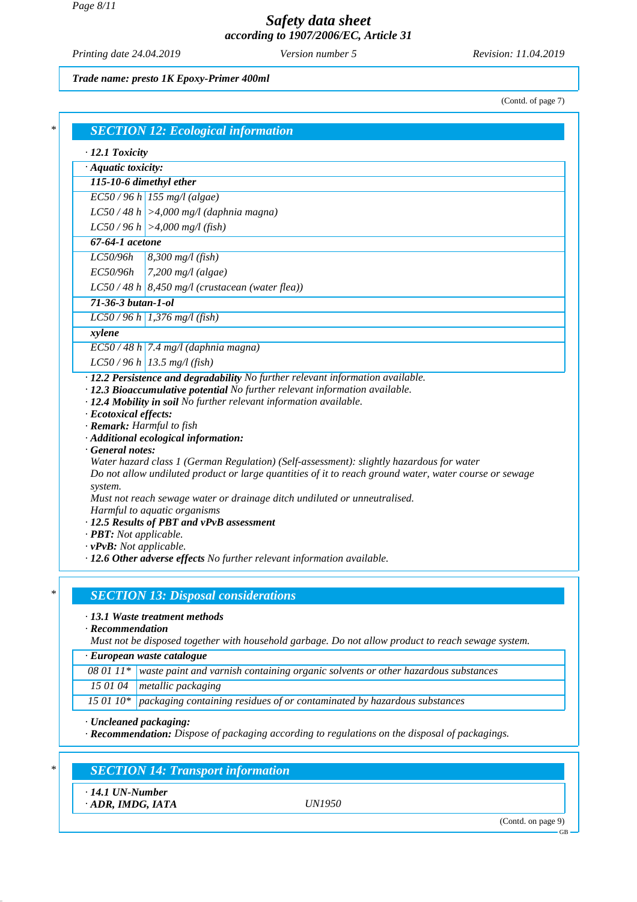*Printing date 24.04.2019 Version number 5 Revision: 11.04.2019*

*Trade name: presto 1K Epoxy-Primer 400ml*

(Contd. of page 7)

| $\cdot$ Aquatic toxicity:                                                       |                                                                                                                                                                                                                                                                                                                                                                                                                                                                                                                                                                                                  |
|---------------------------------------------------------------------------------|--------------------------------------------------------------------------------------------------------------------------------------------------------------------------------------------------------------------------------------------------------------------------------------------------------------------------------------------------------------------------------------------------------------------------------------------------------------------------------------------------------------------------------------------------------------------------------------------------|
|                                                                                 |                                                                                                                                                                                                                                                                                                                                                                                                                                                                                                                                                                                                  |
|                                                                                 | 115-10-6 dimethyl ether                                                                                                                                                                                                                                                                                                                                                                                                                                                                                                                                                                          |
|                                                                                 | $EC50/96 h$ 155 mg/l (algae)                                                                                                                                                                                                                                                                                                                                                                                                                                                                                                                                                                     |
|                                                                                 | $LC50/48 h$ >4,000 mg/l (daphnia magna)                                                                                                                                                                                                                                                                                                                                                                                                                                                                                                                                                          |
|                                                                                 | $LC50/96 h$ >4,000 mg/l (fish)                                                                                                                                                                                                                                                                                                                                                                                                                                                                                                                                                                   |
| $67-64-1$ acetone                                                               |                                                                                                                                                                                                                                                                                                                                                                                                                                                                                                                                                                                                  |
| LC50/96h                                                                        | $8,300$ mg/l (fish)                                                                                                                                                                                                                                                                                                                                                                                                                                                                                                                                                                              |
| EC50/96h                                                                        | $7,200$ mg/l (algae)                                                                                                                                                                                                                                                                                                                                                                                                                                                                                                                                                                             |
|                                                                                 | $LC50/48 h$ 8,450 mg/l (crustacean (water flea))                                                                                                                                                                                                                                                                                                                                                                                                                                                                                                                                                 |
| $71-36-3 but an-1-ol$                                                           |                                                                                                                                                                                                                                                                                                                                                                                                                                                                                                                                                                                                  |
|                                                                                 | $LC50/96 h$ 1,376 mg/l (fish)                                                                                                                                                                                                                                                                                                                                                                                                                                                                                                                                                                    |
| xylene                                                                          |                                                                                                                                                                                                                                                                                                                                                                                                                                                                                                                                                                                                  |
|                                                                                 | $EC$ 50 / 48 h 7.4 mg/l (daphnia magna)                                                                                                                                                                                                                                                                                                                                                                                                                                                                                                                                                          |
|                                                                                 | $LC50/96 h$ 13.5 mg/l (fish)                                                                                                                                                                                                                                                                                                                                                                                                                                                                                                                                                                     |
| · Ecotoxical effects:<br>· Remark: Harmful to fish<br>General notes:<br>system. | · 12.3 Bioaccumulative potential No further relevant information available.<br>· 12.4 Mobility in soil No further relevant information available.<br>· Additional ecological information:<br>Water hazard class 1 (German Regulation) (Self-assessment): slightly hazardous for water<br>Do not allow undiluted product or large quantities of it to reach ground water, water course or sewage<br>Must not reach sewage water or drainage ditch undiluted or unneutralised.<br>Harmful to aquatic organisms<br>· 12.5 Results of PBT and vPvB assessment<br>$\cdot$ <b>PBT:</b> Not applicable. |

# *· 13.1 Waste treatment methods*

*· Recommendation*

*Must not be disposed together with household garbage. Do not allow product to reach sewage system.*

*· European waste catalogue*

*08 01 11\* waste paint and varnish containing organic solvents or other hazardous substances*

*15 01 04 metallic packaging*

*15 01 10\* packaging containing residues of or contaminated by hazardous substances*

*· Uncleaned packaging:*

*· Recommendation: Dispose of packaging according to regulations on the disposal of packagings.*

### *\* SECTION 14: Transport information*

*· 14.1 UN-Number*

*· ADR, IMDG, IATA UN1950*

(Contd. on page 9)

GB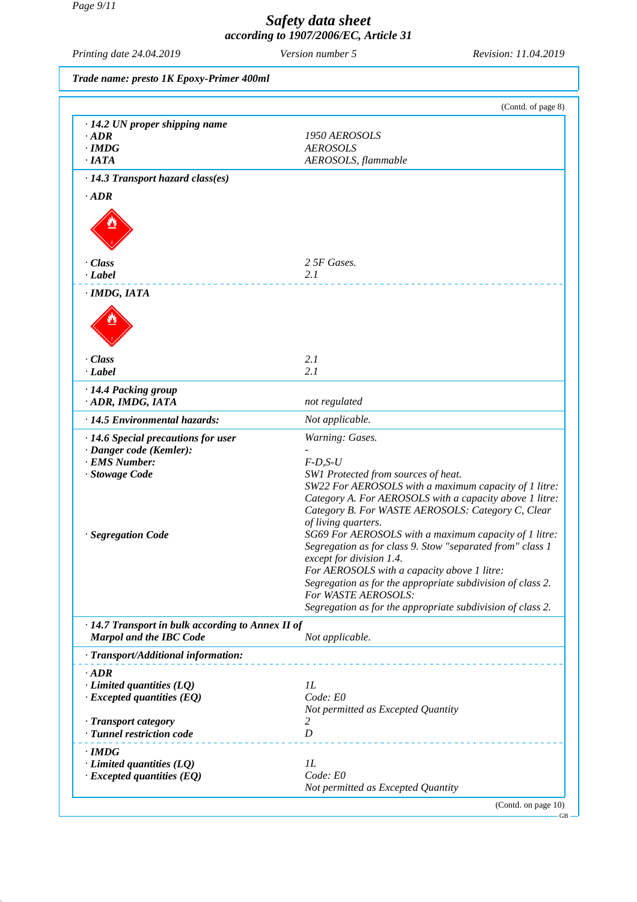### *Page 9/11*

### *Safety data sheet according to 1907/2006/EC, Article 31*

*Printing date 24.04.2019 Version number 5 Revision: 11.04.2019*

GB

### *Trade name: presto 1K Epoxy-Primer 400ml*

| (Contd. of page 8)                                                                                               |
|------------------------------------------------------------------------------------------------------------------|
|                                                                                                                  |
| 1950 AEROSOLS                                                                                                    |
| <b>AEROSOLS</b>                                                                                                  |
| AEROSOLS, flammable                                                                                              |
|                                                                                                                  |
|                                                                                                                  |
|                                                                                                                  |
| 2 5F Gases.                                                                                                      |
| 2.1                                                                                                              |
|                                                                                                                  |
|                                                                                                                  |
| 2.1                                                                                                              |
| 2.1                                                                                                              |
| not regulated                                                                                                    |
| Not applicable.                                                                                                  |
| Warning: Gases.                                                                                                  |
| $F$ -D,S-U                                                                                                       |
| SW1 Protected from sources of heat.                                                                              |
| SW22 For AEROSOLS with a maximum capacity of 1 litre:<br>Category A. For AEROSOLS with a capacity above 1 litre: |
| Category B. For WASTE AEROSOLS: Category C, Clear                                                                |
| of living quarters.                                                                                              |
| SG69 For AEROSOLS with a maximum capacity of 1 litre:                                                            |
| Segregation as for class 9. Stow "separated from" class 1                                                        |
| except for division 1.4.                                                                                         |
| For AEROSOLS with a capacity above 1 litre:                                                                      |
| Segregation as for the appropriate subdivision of class 2.                                                       |
| For WASTE AEROSOLS:<br>Segregation as for the appropriate subdivision of class 2.                                |
|                                                                                                                  |
| $\cdot$ 14.7 Transport in bulk according to Annex II of<br>Not applicable.                                       |
|                                                                                                                  |
|                                                                                                                  |
|                                                                                                                  |
|                                                                                                                  |
| 1L                                                                                                               |
| Code: E0                                                                                                         |
| Not permitted as Excepted Quantity<br>2                                                                          |
| D                                                                                                                |
|                                                                                                                  |
| IL                                                                                                               |
| Code: E0                                                                                                         |
|                                                                                                                  |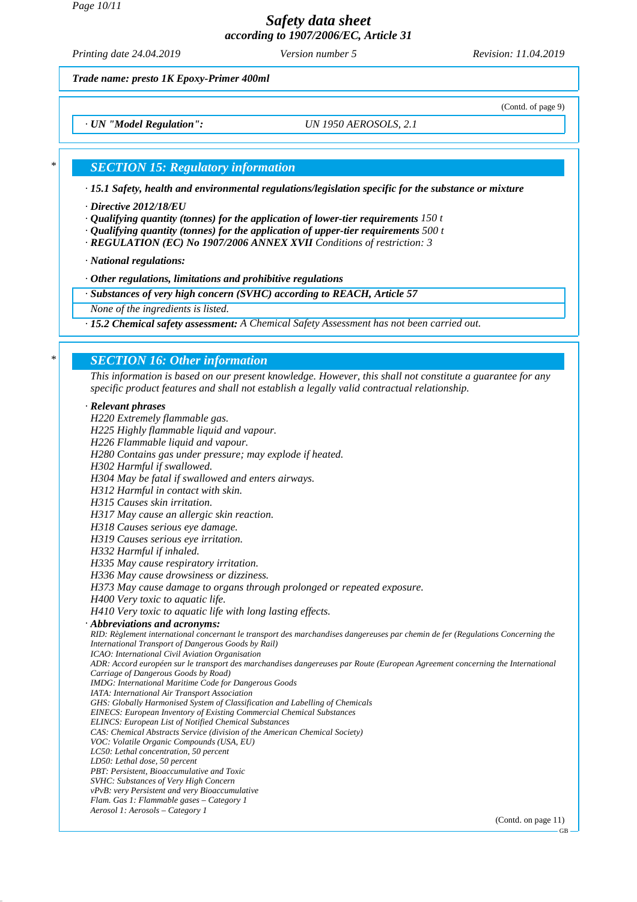*Page 10/11*

*Safety data sheet according to 1907/2006/EC, Article 31*

*Printing date 24.04.2019 Version number 5 Revision: 11.04.2019*

(Contd. of page 9)

*Trade name: presto 1K Epoxy-Primer 400ml*

*· UN "Model Regulation": UN 1950 AEROSOLS, 2.1*

#### *\* SECTION 15: Regulatory information*

*· 15.1 Safety, health and environmental regulations/legislation specific for the substance or mixture*

#### *· Directive 2012/18/EU*

- *· Qualifying quantity (tonnes) for the application of lower-tier requirements 150 t*
- *· Qualifying quantity (tonnes) for the application of upper-tier requirements 500 t*
- *· REGULATION (EC) No 1907/2006 ANNEX XVII Conditions of restriction: 3*

*· National regulations:*

*· Other regulations, limitations and prohibitive regulations*

*· Substances of very high concern (SVHC) according to REACH, Article 57*

*None of the ingredients is listed.*

*· 15.2 Chemical safety assessment: A Chemical Safety Assessment has not been carried out.*

### *\* SECTION 16: Other information*

*This information is based on our present knowledge. However, this shall not constitute a guarantee for any specific product features and shall not establish a legally valid contractual relationship.*

#### *· Relevant phrases*

*H220 Extremely flammable gas. H225 Highly flammable liquid and vapour. H226 Flammable liquid and vapour. H280 Contains gas under pressure; may explode if heated. H302 Harmful if swallowed. H304 May be fatal if swallowed and enters airways. H312 Harmful in contact with skin. H315 Causes skin irritation. H317 May cause an allergic skin reaction. H318 Causes serious eye damage. H319 Causes serious eye irritation. H332 Harmful if inhaled. H335 May cause respiratory irritation. H336 May cause drowsiness or dizziness. H373 May cause damage to organs through prolonged or repeated exposure. H400 Very toxic to aquatic life. H410 Very toxic to aquatic life with long lasting effects. · Abbreviations and acronyms: RID: Règlement international concernant le transport des marchandises dangereuses par chemin de fer (Regulations Concerning the International Transport of Dangerous Goods by Rail) ICAO: International Civil Aviation Organisation ADR: Accord européen sur le transport des marchandises dangereuses par Route (European Agreement concerning the International Carriage of Dangerous Goods by Road) IMDG: International Maritime Code for Dangerous Goods IATA: International Air Transport Association GHS: Globally Harmonised System of Classification and Labelling of Chemicals EINECS: European Inventory of Existing Commercial Chemical Substances ELINCS: European List of Notified Chemical Substances CAS: Chemical Abstracts Service (division of the American Chemical Society) VOC: Volatile Organic Compounds (USA, EU) LC50: Lethal concentration, 50 percent LD50: Lethal dose, 50 percent PBT: Persistent, Bioaccumulative and Toxic SVHC: Substances of Very High Concern vPvB: very Persistent and very Bioaccumulative Flam. Gas 1: Flammable gases – Category 1 Aerosol 1: Aerosols – Category 1* (Contd. on page 11)